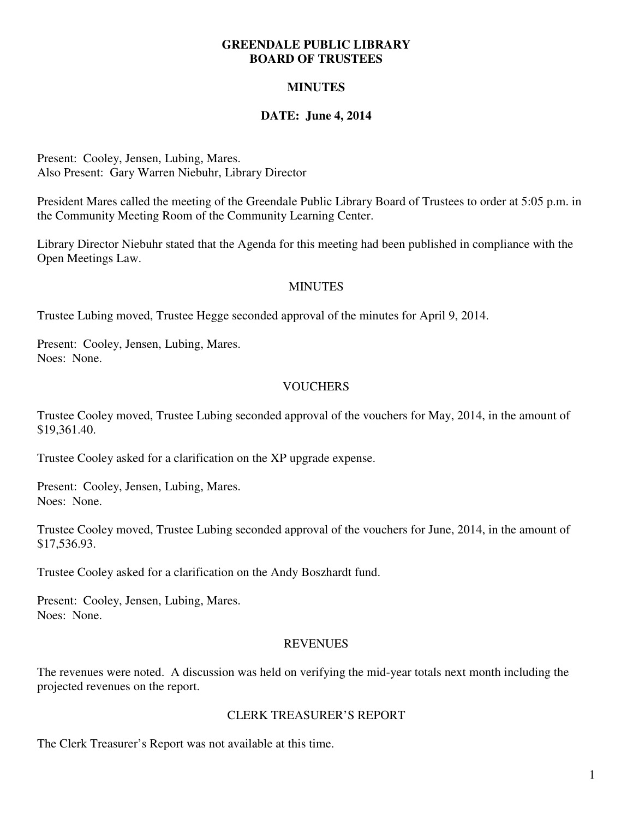#### **GREENDALE PUBLIC LIBRARY BOARD OF TRUSTEES**

# **MINUTES**

## **DATE: June 4, 2014**

Present: Cooley, Jensen, Lubing, Mares. Also Present: Gary Warren Niebuhr, Library Director

President Mares called the meeting of the Greendale Public Library Board of Trustees to order at 5:05 p.m. in the Community Meeting Room of the Community Learning Center.

Library Director Niebuhr stated that the Agenda for this meeting had been published in compliance with the Open Meetings Law.

#### **MINUTES**

Trustee Lubing moved, Trustee Hegge seconded approval of the minutes for April 9, 2014.

Present: Cooley, Jensen, Lubing, Mares. Noes: None.

### **VOUCHERS**

Trustee Cooley moved, Trustee Lubing seconded approval of the vouchers for May, 2014, in the amount of \$19,361.40.

Trustee Cooley asked for a clarification on the XP upgrade expense.

Present: Cooley, Jensen, Lubing, Mares. Noes: None.

Trustee Cooley moved, Trustee Lubing seconded approval of the vouchers for June, 2014, in the amount of \$17,536.93.

Trustee Cooley asked for a clarification on the Andy Boszhardt fund.

Present: Cooley, Jensen, Lubing, Mares. Noes: None.

#### REVENUES

The revenues were noted. A discussion was held on verifying the mid-year totals next month including the projected revenues on the report.

#### CLERK TREASURER'S REPORT

The Clerk Treasurer's Report was not available at this time.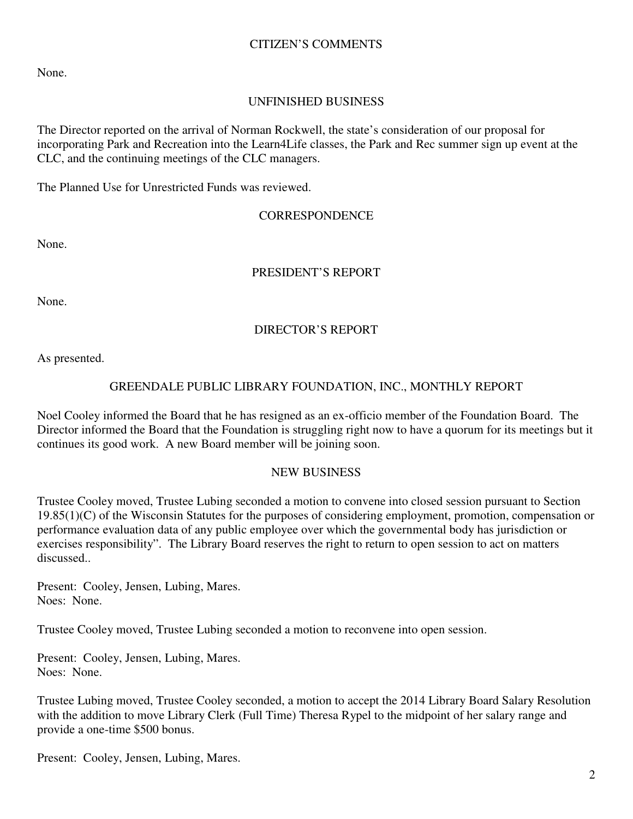## CITIZEN'S COMMENTS

None.

## UNFINISHED BUSINESS

The Director reported on the arrival of Norman Rockwell, the state's consideration of our proposal for incorporating Park and Recreation into the Learn4Life classes, the Park and Rec summer sign up event at the CLC, and the continuing meetings of the CLC managers.

The Planned Use for Unrestricted Funds was reviewed.

### **CORRESPONDENCE**

None.

## PRESIDENT'S REPORT

None.

## DIRECTOR'S REPORT

As presented.

### GREENDALE PUBLIC LIBRARY FOUNDATION, INC., MONTHLY REPORT

Noel Cooley informed the Board that he has resigned as an ex-officio member of the Foundation Board. The Director informed the Board that the Foundation is struggling right now to have a quorum for its meetings but it continues its good work. A new Board member will be joining soon.

#### NEW BUSINESS

Trustee Cooley moved, Trustee Lubing seconded a motion to convene into closed session pursuant to Section  $19.85(1)(C)$  of the Wisconsin Statutes for the purposes of considering employment, promotion, compensation or performance evaluation data of any public employee over which the governmental body has jurisdiction or exercises responsibility". The Library Board reserves the right to return to open session to act on matters discussed..

Present: Cooley, Jensen, Lubing, Mares. Noes: None.

Trustee Cooley moved, Trustee Lubing seconded a motion to reconvene into open session.

Present: Cooley, Jensen, Lubing, Mares. Noes: None.

Trustee Lubing moved, Trustee Cooley seconded, a motion to accept the 2014 Library Board Salary Resolution with the addition to move Library Clerk (Full Time) Theresa Rypel to the midpoint of her salary range and provide a one-time \$500 bonus.

Present: Cooley, Jensen, Lubing, Mares.